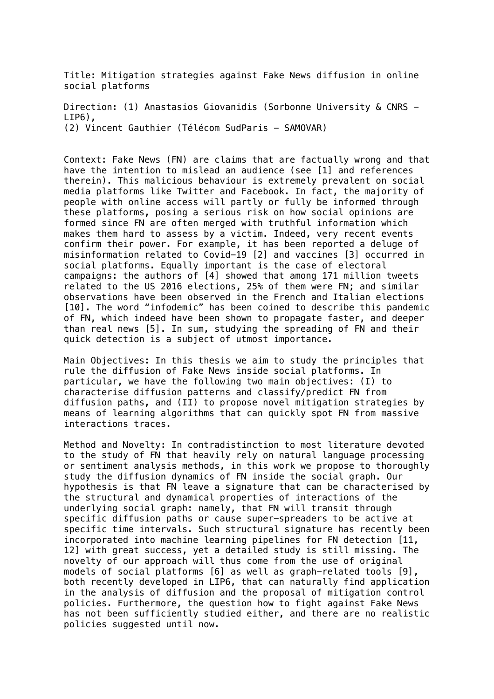Title: Mitigation strategies against Fake News diffusion in online social platforms

Direction: (1) Anastasios Giovanidis (Sorbonne University & CNRS - LIP6), (2) Vincent Gauthier (Télécom SudParis - SAMOVAR)

Context: Fake News (FN) are claims that are factually wrong and that have the intention to mislead an audience (see [1] and references therein). This malicious behaviour is extremely prevalent on social media platforms like Twitter and Facebook. In fact, the majority of people with online access will partly or fully be informed through these platforms, posing a serious risk on how social opinions are formed since FN are often merged with truthful information which makes them hard to assess by a victim. Indeed, very recent events confirm their power. For example, it has been reported a deluge of misinformation related to Covid-19 [2] and vaccines [3] occurred in social platforms. Equally important is the case of electoral campaigns: the authors of [4] showed that among 171 million tweets related to the US 2016 elections, 25% of them were FN; and similar observations have been observed in the French and Italian elections [10]. The word "infodemic" has been coined to describe this pandemic of FN, which indeed have been shown to propagate faster, and deeper than real news [5]. In sum, studying the spreading of FN and their quick detection is a subject of utmost importance.

Main Objectives: In this thesis we aim to study the principles that rule the diffusion of Fake News inside social platforms. In particular, we have the following two main objectives: (I) to characterise diffusion patterns and classify/predict FN from diffusion paths, and (II) to propose novel mitigation strategies by means of learning algorithms that can quickly spot FN from massive interactions traces.

Method and Novelty: In contradistinction to most literature devoted to the study of FN that heavily rely on natural language processing or sentiment analysis methods, in this work we propose to thoroughly study the diffusion dynamics of FN inside the social graph. Our hypothesis is that FN leave a signature that can be characterised by the structural and dynamical properties of interactions of the underlying social graph: namely, that FN will transit through specific diffusion paths or cause super-spreaders to be active at specific time intervals. Such structural signature has recently been incorporated into machine learning pipelines for FN detection [11, 12] with great success, yet a detailed study is still missing. The novelty of our approach will thus come from the use of original models of social platforms [6] as well as graph-related tools [9], both recently developed in LIP6, that can naturally find application in the analysis of diffusion and the proposal of mitigation control policies. Furthermore, the question how to fight against Fake News has not been sufficiently studied either, and there are no realistic policies suggested until now.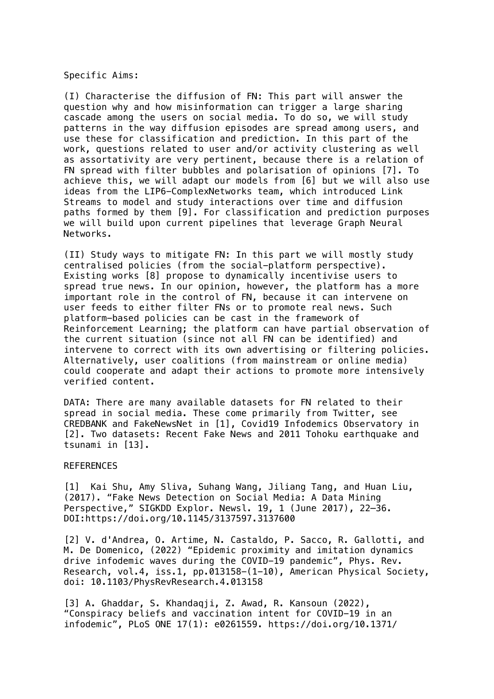Specific Aims:

(I) Characterise the diffusion of FN: This part will answer the question why and how misinformation can trigger a large sharing cascade among the users on social media. To do so, we will study patterns in the way diffusion episodes are spread among users, and use these for classification and prediction. In this part of the work, questions related to user and/or activity clustering as well as assortativity are very pertinent, because there is a relation of FN spread with filter bubbles and polarisation of opinions [7]. To achieve this, we will adapt our models from [6] but we will also use ideas from the LIP6-ComplexNetworks team, which introduced Link Streams to model and study interactions over time and diffusion paths formed by them [9]. For classification and prediction purposes we will build upon current pipelines that leverage Graph Neural Networks.

(II) Study ways to mitigate FN: In this part we will mostly study centralised policies (from the social-platform perspective). Existing works [8] propose to dynamically incentivise users to spread true news. In our opinion, however, the platform has a more important role in the control of FN, because it can intervene on user feeds to either filter FNs or to promote real news. Such platform-based policies can be cast in the framework of Reinforcement Learning; the platform can have partial observation of the current situation (since not all FN can be identified) and intervene to correct with its own advertising or filtering policies. Alternatively, user coalitions (from mainstream or online media) could cooperate and adapt their actions to promote more intensively verified content.

DATA: There are many available datasets for FN related to their spread in social media. These come primarily from Twitter, see CREDBANK and FakeNewsNet in [1], Covid19 Infodemics Observatory in [2]. Two datasets: Recent Fake News and 2011 Tohoku earthquake and tsunami in [13].

## REFERENCES

[1] Kai Shu, Amy Sliva, Suhang Wang, Jiliang Tang, and Huan Liu, (2017). "Fake News Detection on Social Media: A Data Mining Perspective," SIGKDD Explor. Newsl. 19, 1 (June 2017), 22-36. DOI:https://doi.org/10.1145/3137597.3137600

[2] V. d'Andrea, O. Artime, N. Castaldo, P. Sacco, R. Gallotti, and M. De Domenico, (2022) "Epidemic proximity and imitation dynamics drive infodemic waves during the COVID-19 pandemic", Phys. Rev. Research, vol.4, iss.1, pp.013158-(1-10), American Physical Society, doi: 10.1103/PhysRevResearch.4.013158

[3] A. Ghaddar, S. Khandaqji, Z. Awad, R. Kansoun (2022), "Conspiracy beliefs and vaccination intent for COVID-19 in an infodemic", PLoS ONE 17(1): e0261559. https://doi.org/10.1371/